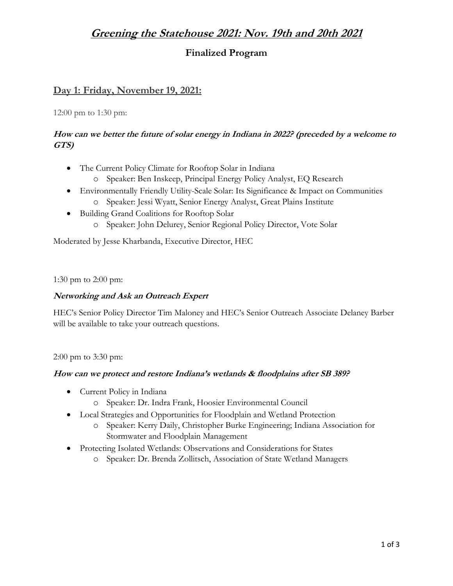# **Greening the Statehouse 2021: Nov. 19th and 20th 2021**

## **Finalized Program**

### **Day 1: Friday, November 19, 2021:**

12:00 pm to 1:30 pm:

### **How can we better the future of solar energy in Indiana in 2022? (preceded by a welcome to GTS)**

- The Current Policy Climate for Rooftop Solar in Indiana
	- o Speaker: Ben Inskeep, Principal Energy Policy Analyst, EQ Research
- Environmentally Friendly Utility-Scale Solar: Its Significance & Impact on Communities
	- o Speaker: Jessi Wyatt, Senior Energy Analyst, Great Plains Institute
- Building Grand Coalitions for Rooftop Solar
	- o Speaker: John Delurey, Senior Regional Policy Director, Vote Solar

Moderated by Jesse Kharbanda, Executive Director, HEC

1:30 pm to 2:00 pm:

#### **Networking and Ask an Outreach Expert**

HEC's Senior Policy Director Tim Maloney and HEC's Senior Outreach Associate Delaney Barber will be available to take your outreach questions.

2:00 pm to 3:30 pm:

#### **How can we protect and restore Indiana's wetlands & floodplains after SB 389?**

- Current Policy in Indiana
	- o Speaker: Dr. Indra Frank, Hoosier Environmental Council
- Local Strategies and Opportunities for Floodplain and Wetland Protection
	- o Speaker: Kerry Daily, Christopher Burke Engineering; Indiana Association for Stormwater and Floodplain Management
- Protecting Isolated Wetlands: Observations and Considerations for States
	- o Speaker: Dr. Brenda Zollitsch, Association of State Wetland Managers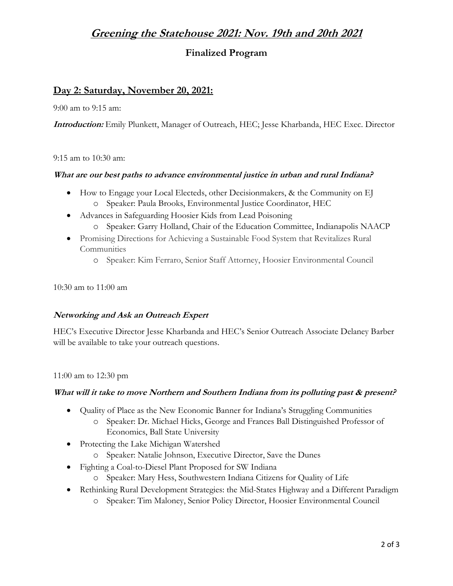# **Greening the Statehouse 2021: Nov. 19th and 20th 2021**

## **Finalized Program**

## **Day 2: Saturday, November 20, 2021:**

9:00 am to 9:15 am:

**Introduction:** Emily Plunkett, Manager of Outreach, HEC; Jesse Kharbanda, HEC Exec. Director

9:15 am to 10:30 am:

#### **What are our best paths to advance environmental justice in urban and rural Indiana?**

- How to Engage your Local Electeds, other Decisionmakers, & the Community on EJ o Speaker: Paula Brooks, Environmental Justice Coordinator, HEC
- Advances in Safeguarding Hoosier Kids from Lead Poisoning
	- o Speaker: Garry Holland, Chair of the Education Committee, Indianapolis NAACP
- Promising Directions for Achieving a Sustainable Food System that Revitalizes Rural **Communities** 
	- o Speaker: Kim Ferraro, Senior Staff Attorney, Hoosier Environmental Council

10:30 am to 11:00 am

#### **Networking and Ask an Outreach Expert**

HEC's Executive Director Jesse Kharbanda and HEC's Senior Outreach Associate Delaney Barber will be available to take your outreach questions.

11:00 am to 12:30 pm

#### **What will it take to move Northern and Southern Indiana from its polluting past & present?**

- Quality of Place as the New Economic Banner for Indiana's Struggling Communities
	- o Speaker: Dr. Michael Hicks, George and Frances Ball Distinguished Professor of Economics, Ball State University
- Protecting the Lake Michigan Watershed
	- o Speaker: Natalie Johnson, Executive Director, Save the Dunes
- Fighting a Coal-to-Diesel Plant Proposed for SW Indiana
	- o Speaker: Mary Hess, Southwestern Indiana Citizens for Quality of Life
- Rethinking Rural Development Strategies: the Mid-States Highway and a Different Paradigm
	- o Speaker: Tim Maloney, Senior Policy Director, Hoosier Environmental Council